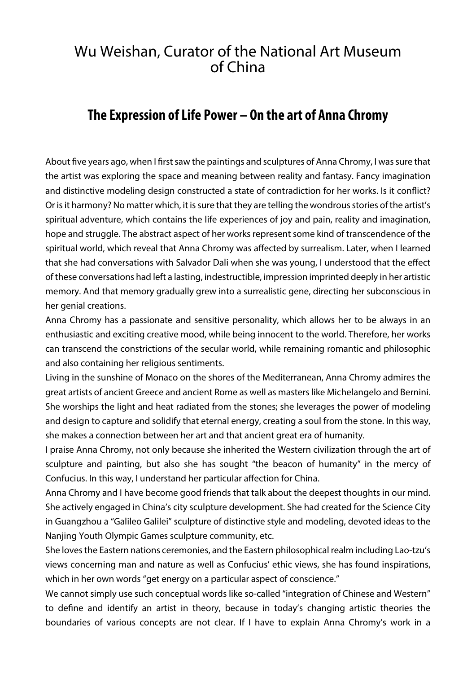## Wu Weishan, Curator of the National Art Museum of China

## **The Expression of Life Power – On the art of Anna Chromy**

About five years ago, when I first saw the paintings and sculptures of Anna Chromy, I was sure that the artist was exploring the space and meaning between reality and fantasy. Fancy imagination and distinctive modeling design constructed a state of contradiction for her works. Is it conflict? Or is it harmony? No matter which, it is sure that they are telling the wondrous stories of the artist's spiritual adventure, which contains the life experiences of joy and pain, reality and imagination, hope and struggle. The abstract aspect of her works represent some kind of transcendence of the spiritual world, which reveal that Anna Chromy was affected by surrealism. Later, when I learned that she had conversations with Salvador Dali when she was young, I understood that the effect of these conversations had left a lasting, indestructible, impression imprinted deeply in her artistic memory. And that memory gradually grew into a surrealistic gene, directing her subconscious in her genial creations.

Anna Chromy has a passionate and sensitive personality, which allows her to be always in an enthusiastic and exciting creative mood, while being innocent to the world. Therefore, her works can transcend the constrictions of the secular world, while remaining romantic and philosophic and also containing her religious sentiments.

Living in the sunshine of Monaco on the shores of the Mediterranean, Anna Chromy admires the great artists of ancient Greece and ancient Rome as well as masters like Michelangelo and Bernini. She worships the light and heat radiated from the stones; she leverages the power of modeling and design to capture and solidify that eternal energy, creating a soul from the stone. In this way, she makes a connection between her art and that ancient great era of humanity.

I praise Anna Chromy, not only because she inherited the Western civilization through the art of sculpture and painting, but also she has sought "the beacon of humanity" in the mercy of Confucius. In this way, I understand her particular affection for China.

Anna Chromy and I have become good friends that talk about the deepest thoughts in our mind. She actively engaged in China's city sculpture development. She had created for the Science City in Guangzhou a "Galileo Galilei" sculpture of distinctive style and modeling, devoted ideas to the Nanjing Youth Olympic Games sculpture community, etc.

She loves the Eastern nations ceremonies, and the Eastern philosophical realm including Lao-tzu's views concerning man and nature as well as Confucius' ethic views, she has found inspirations, which in her own words "get energy on a particular aspect of conscience."

We cannot simply use such conceptual words like so-called "integration of Chinese and Western" to define and identify an artist in theory, because in today's changing artistic theories the boundaries of various concepts are not clear. If I have to explain Anna Chromy's work in a